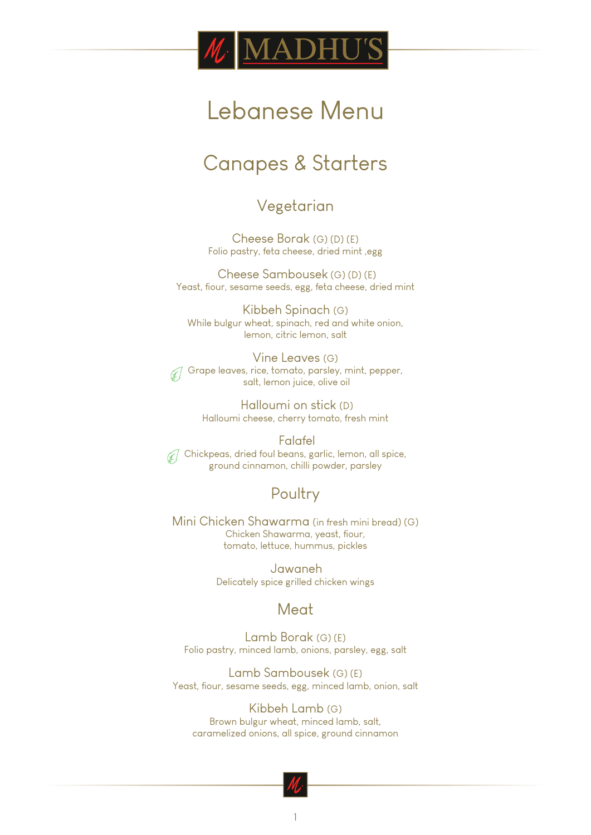

# Lebanese Menu

## Canapes & Starters

#### Vegetarian

Cheese Borak (G) (D) (E) Folio pastry, feta cheese, dried mint ,egg

 Cheese Sambousek (G) (D) (E) Yeast, fiour, sesame seeds, egg, feta cheese, dried mint

Kibbeh Spinach (G) While bulgur wheat, spinach, red and white onion, lemon, citric lemon, salt

Vine Leaves (G)  $\widetilde{\mathcal{G}}$  Grape leaves, rice, tomato, parsley, mint, pepper, salt, lemon juice, olive oil

> Halloumi on stick (D) Halloumi cheese, cherry tomato, fresh mint

 Falafel  $\mathcal{U}$  Chickpeas, dried foul beans, garlic, lemon, all spice, ground cinnamon, chilli powder, parsley

### Poultry

Mini Chicken Shawarma (in fresh mini bread) (G) Chicken Shawarma, yeast, fiour, tomato, lettuce, hummus, pickles

> Jawaneh Delicately spice grilled chicken wings

#### Meat

Lamb Borak (G) (E) Folio pastry, minced lamb, onions, parsley, egg, salt

Lamb Sambousek (G) (E) Yeast, fiour, sesame seeds, egg, minced lamb, onion, salt

Kibbeh Lamb (G) Brown bulgur wheat, minced lamb, salt, caramelized onions, all spice, ground cinnamon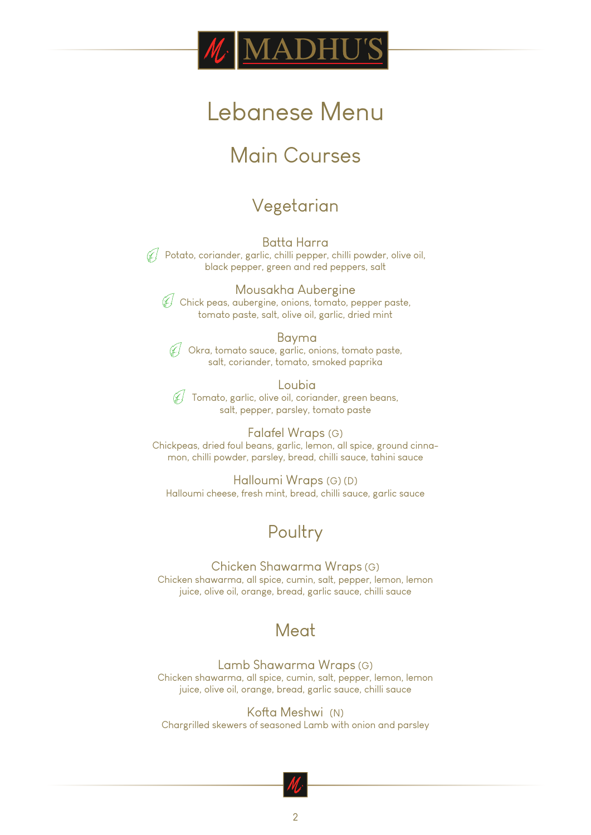

# Lebanese Menu

## Main Courses

## Vegetarian

Batta Harra  $\mathcal{F}$  Potato, coriander, garlic, chilli pepper, chilli powder, olive oil, black pepper, green and red peppers, salt

Mousakha Aubergine Chick peas, aubergine, onions, tomato, pepper paste, tomato paste, salt, olive oil, garlic, dried mint

 Bayma  $\mathcal{J}$  Okra, tomato sauce, garlic, onions, tomato paste, salt, coriander, tomato, smoked paprika

 Loubia  $\mathcal{J}$  Tomato, garlic, olive oil, coriander, green beans, salt, pepper, parsley, tomato paste

Falafel Wraps (G) Chickpeas, dried foul beans, garlic, lemon, all spice, ground cinnamon, chilli powder, parsley, bread, chilli sauce, tahini sauce

Halloumi Wraps (G) (D) Halloumi cheese, fresh mint, bread, chilli sauce, garlic sauce

### Poultry

Chicken Shawarma Wraps (G) Chicken shawarma, all spice, cumin, salt, pepper, lemon, lemon juice, olive oil, orange, bread, garlic sauce, chilli sauce

### Meat

Lamb Shawarma Wraps (G) Chicken shawarma, all spice, cumin, salt, pepper, lemon, lemon juice, olive oil, orange, bread, garlic sauce, chilli sauce

Kofta Meshwi (N) Chargrilled skewers of seasoned Lamb with onion and parsley